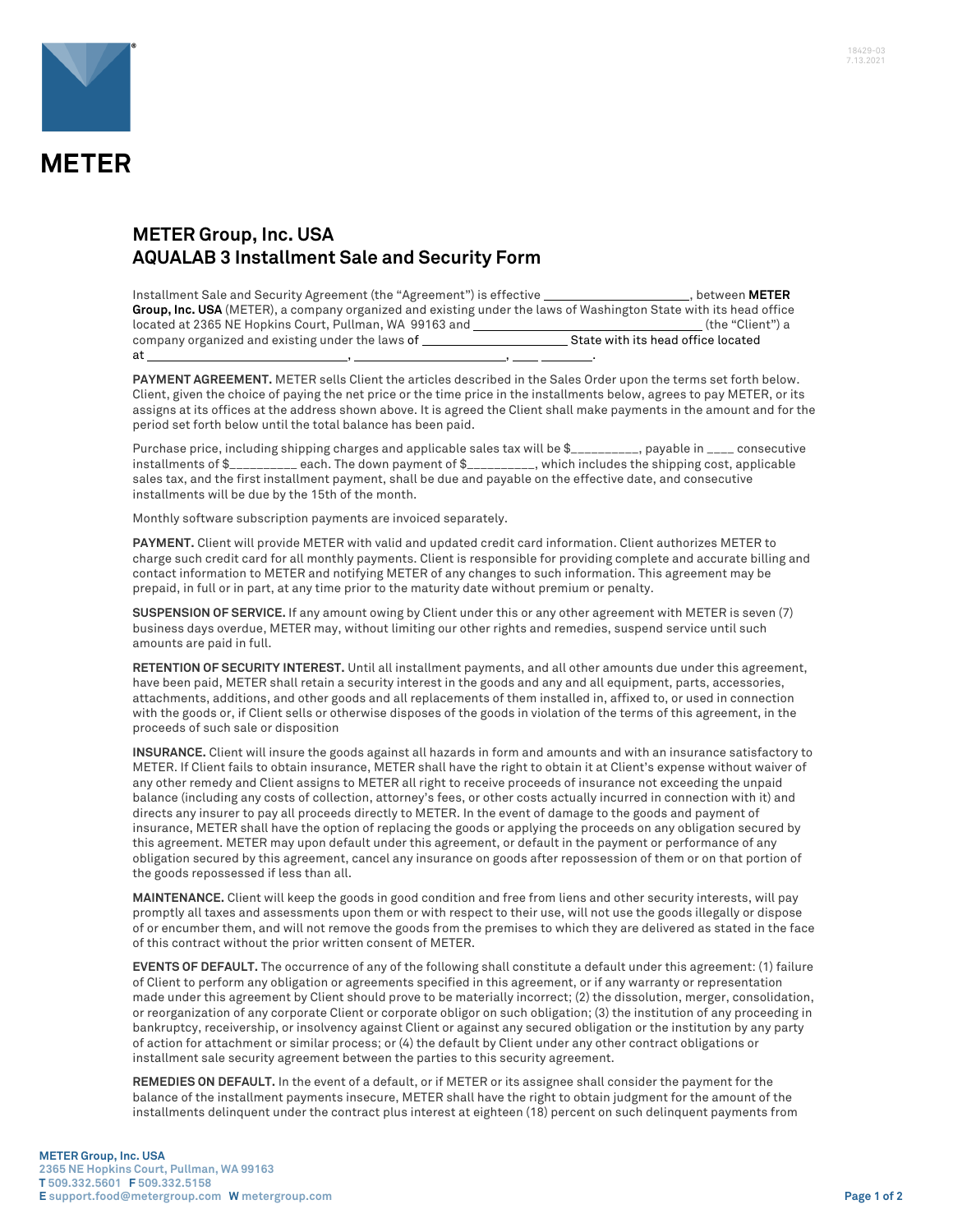

## **METER Group, Inc. USA AQUALAB 3 Installment Sale and Security Form**

| Installment Sale and Security Agreement (the "Agreement") is effective                                            | . between <b>METER</b>             |
|-------------------------------------------------------------------------------------------------------------------|------------------------------------|
| Group, Inc. USA (METER), a company organized and existing under the laws of Washington State with its head office |                                    |
| located at 2365 NE Hopkins Court, Pullman, WA 99163 and                                                           | (the "Client") a                   |
| company organized and existing under the laws of                                                                  | State with its head office located |
| at                                                                                                                |                                    |

**PAYMENT AGREEMENT.** METER sells Client the articles described in the Sales Order upon the terms set forth below. Client, given the choice of paying the net price or the time price in the installments below, agrees to pay METER, or its assigns at its offices at the address shown above. It is agreed the Client shall make payments in the amount and for the period set forth below until the total balance has been paid.

Purchase price, including shipping charges and applicable sales tax will be \$\_\_\_\_\_\_\_\_\_\_, payable in \_\_\_\_ consecutive installments of \$\_\_\_\_\_\_\_\_\_\_ each. The down payment of \$\_\_\_\_\_\_\_\_\_\_, which includes the shipping cost, applicable sales tax, and the first installment payment, shall be due and payable on the effective date, and consecutive installments will be due by the 15th of the month.

Monthly software subscription payments are invoiced separately.

**PAYMENT.** Client will provide METER with valid and updated credit card information. Client authorizes METER to charge such credit card for all monthly payments. Client is responsible for providing complete and accurate billing and contact information to METER and notifying METER of any changes to such information. This agreement may be prepaid, in full or in part, at any time prior to the maturity date without premium or penalty.

**SUSPENSION OF SERVICE.** If any amount owing by Client under this or any other agreement with METER is seven (7) business days overdue, METER may, without limiting our other rights and remedies, suspend service until such amounts are paid in full.

**RETENTION OF SECURITY INTEREST.** Until all installment payments, and all other amounts due under this agreement, have been paid, METER shall retain a security interest in the goods and any and all equipment, parts, accessories, attachments, additions, and other goods and all replacements of them installed in, affixed to, or used in connection with the goods or, if Client sells or otherwise disposes of the goods in violation of the terms of this agreement, in the proceeds of such sale or disposition

**INSURANCE.** Client will insure the goods against all hazards in form and amounts and with an insurance satisfactory to METER. If Client fails to obtain insurance, METER shall have the right to obtain it at Client's expense without waiver of any other remedy and Client assigns to METER all right to receive proceeds of insurance not exceeding the unpaid balance (including any costs of collection, attorney's fees, or other costs actually incurred in connection with it) and directs any insurer to pay all proceeds directly to METER. In the event of damage to the goods and payment of insurance, METER shall have the option of replacing the goods or applying the proceeds on any obligation secured by this agreement. METER may upon default under this agreement, or default in the payment or performance of any obligation secured by this agreement, cancel any insurance on goods after repossession of them or on that portion of the goods repossessed if less than all.

**MAINTENANCE.** Client will keep the goods in good condition and free from liens and other security interests, will pay promptly all taxes and assessments upon them or with respect to their use, will not use the goods illegally or dispose of or encumber them, and will not remove the goods from the premises to which they are delivered as stated in the face of this contract without the prior written consent of METER.

**EVENTS OF DEFAULT.** The occurrence of any of the following shall constitute a default under this agreement: (1) failure of Client to perform any obligation or agreements specified in this agreement, or if any warranty or representation made under this agreement by Client should prove to be materially incorrect; (2) the dissolution, merger, consolidation, or reorganization of any corporate Client or corporate obligor on such obligation; (3) the institution of any proceeding in bankruptcy, receivership, or insolvency against Client or against any secured obligation or the institution by any party of action for attachment or similar process; or (4) the default by Client under any other contract obligations or installment sale security agreement between the parties to this security agreement.

**REMEDIES ON DEFAULT.** In the event of a default, or if METER or its assignee shall consider the payment for the balance of the installment payments insecure, METER shall have the right to obtain judgment for the amount of the installments delinquent under the contract plus interest at eighteen (18) percent on such delinquent payments from